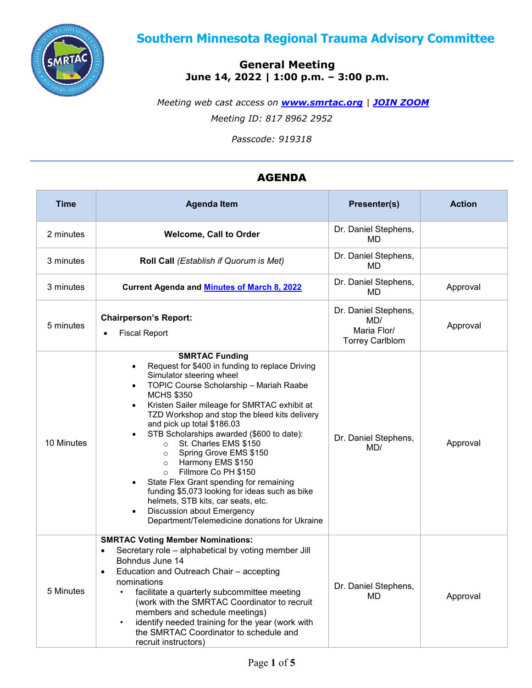

# **Southern Minnesota Regional Trauma Advisory Committee**

# **General Meeting June 14, 2022** *|* **1:00 p.m. – 3:00 p.m.**

*Meeting web cast access on [www.smrtac.org](http://www.smrtac.org/) | [JOIN ZOOM](https://us02web.zoom.us/j/81789622952?pwd=UzhDTTJSYml1V0dndytaV0dQSTZYZz09) Meeting ID: 817 8962 2952*

*Passcode: 919318*

# AGENDA

| <b>Time</b> | <b>Agenda Item</b>                                                                                                                                                                                                                                                                                                                                                                                                                                                                                                                                                                                                                                                                                                                                                                           | Presenter(s)                                                         | <b>Action</b> |
|-------------|----------------------------------------------------------------------------------------------------------------------------------------------------------------------------------------------------------------------------------------------------------------------------------------------------------------------------------------------------------------------------------------------------------------------------------------------------------------------------------------------------------------------------------------------------------------------------------------------------------------------------------------------------------------------------------------------------------------------------------------------------------------------------------------------|----------------------------------------------------------------------|---------------|
| 2 minutes   | <b>Welcome, Call to Order</b>                                                                                                                                                                                                                                                                                                                                                                                                                                                                                                                                                                                                                                                                                                                                                                | Dr. Daniel Stephens,<br>MD.                                          |               |
| 3 minutes   | Roll Call (Establish if Quorum is Met)                                                                                                                                                                                                                                                                                                                                                                                                                                                                                                                                                                                                                                                                                                                                                       | Dr. Daniel Stephens,<br>MD                                           |               |
| 3 minutes   | <b>Current Agenda and Minutes of March 8, 2022</b>                                                                                                                                                                                                                                                                                                                                                                                                                                                                                                                                                                                                                                                                                                                                           | Dr. Daniel Stephens,<br>MD                                           | Approval      |
| 5 minutes   | <b>Chairperson's Report:</b><br><b>Fiscal Report</b>                                                                                                                                                                                                                                                                                                                                                                                                                                                                                                                                                                                                                                                                                                                                         | Dr. Daniel Stephens,<br>MD/<br>Maria Flor/<br><b>Torrey Carlblom</b> | Approval      |
| 10 Minutes  | <b>SMRTAC Funding</b><br>Request for \$400 in funding to replace Driving<br>$\bullet$<br>Simulator steering wheel<br>TOPIC Course Scholarship - Mariah Raabe<br>$\bullet$<br><b>MCHS \$350</b><br>Kristen Sailer mileage for SMRTAC exhibit at<br>$\bullet$<br>TZD Workshop and stop the bleed kits delivery<br>and pick up total \$186.03<br>STB Scholarships awarded (\$600 to date):<br>$\bullet$<br>St. Charles EMS \$150<br>$\circ$<br>Spring Grove EMS \$150<br>$\circ$<br>Harmony EMS \$150<br>$\circ$<br>Fillmore Co PH \$150<br>$\circ$<br>State Flex Grant spending for remaining<br>$\bullet$<br>funding \$5,073 looking for ideas such as bike<br>helmets, STB kits, car seats, etc.<br>Discussion about Emergency<br>$\bullet$<br>Department/Telemedicine donations for Ukraine | Dr. Daniel Stephens,<br>MD/                                          | Approval      |
| 5 Minutes   | <b>SMRTAC Voting Member Nominations:</b><br>Secretary role - alphabetical by voting member Jill<br>$\bullet$<br>Bohndus June 14<br>Education and Outreach Chair - accepting<br>$\bullet$<br>nominations<br>facilitate a quarterly subcommittee meeting<br>(work with the SMRTAC Coordinator to recruit<br>members and schedule meetings)<br>identify needed training for the year (work with<br>$\bullet$<br>the SMRTAC Coordinator to schedule and<br>recruit instructors)                                                                                                                                                                                                                                                                                                                  | Dr. Daniel Stephens,<br>MD                                           | Approval      |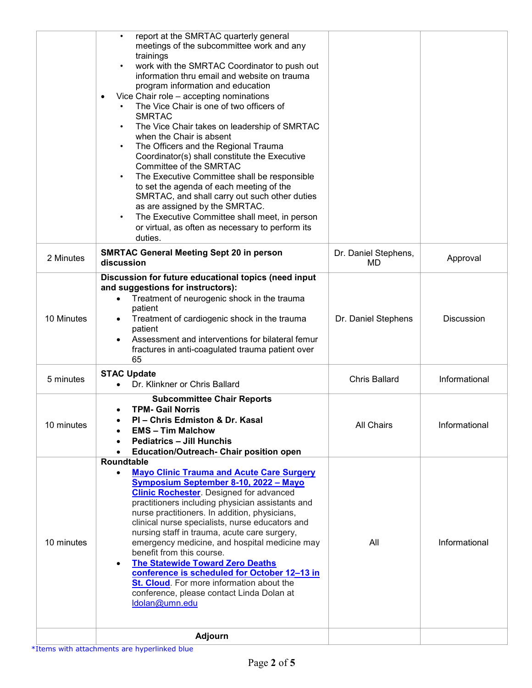|            | report at the SMRTAC quarterly general<br>meetings of the subcommittee work and any<br>trainings<br>work with the SMRTAC Coordinator to push out<br>information thru email and website on trauma<br>program information and education<br>Vice Chair role - accepting nominations<br>The Vice Chair is one of two officers of<br><b>SMRTAC</b><br>The Vice Chair takes on leadership of SMRTAC<br>$\bullet$<br>when the Chair is absent<br>The Officers and the Regional Trauma<br>$\bullet$<br>Coordinator(s) shall constitute the Executive<br>Committee of the SMRTAC<br>The Executive Committee shall be responsible<br>to set the agenda of each meeting of the<br>SMRTAC, and shall carry out such other duties<br>as are assigned by the SMRTAC.<br>The Executive Committee shall meet, in person<br>$\bullet$<br>or virtual, as often as necessary to perform its<br>duties. |                            |                   |
|------------|-------------------------------------------------------------------------------------------------------------------------------------------------------------------------------------------------------------------------------------------------------------------------------------------------------------------------------------------------------------------------------------------------------------------------------------------------------------------------------------------------------------------------------------------------------------------------------------------------------------------------------------------------------------------------------------------------------------------------------------------------------------------------------------------------------------------------------------------------------------------------------------|----------------------------|-------------------|
| 2 Minutes  | <b>SMRTAC General Meeting Sept 20 in person</b><br>discussion                                                                                                                                                                                                                                                                                                                                                                                                                                                                                                                                                                                                                                                                                                                                                                                                                       | Dr. Daniel Stephens,<br>MD | Approval          |
| 10 Minutes | Discussion for future educational topics (need input<br>and suggestions for instructors):<br>Treatment of neurogenic shock in the trauma<br>$\bullet$<br>patient<br>Treatment of cardiogenic shock in the trauma<br>patient<br>Assessment and interventions for bilateral femur<br>fractures in anti-coagulated trauma patient over<br>65                                                                                                                                                                                                                                                                                                                                                                                                                                                                                                                                           | Dr. Daniel Stephens        | <b>Discussion</b> |
| 5 minutes  | <b>STAC Update</b><br>Dr. Klinkner or Chris Ballard                                                                                                                                                                                                                                                                                                                                                                                                                                                                                                                                                                                                                                                                                                                                                                                                                                 | <b>Chris Ballard</b>       | Informational     |
| 10 minutes | <b>Subcommittee Chair Reports</b><br><b>TPM- Gail Norris</b><br>PI - Chris Edmiston & Dr. Kasal<br><b>EMS - Tim Malchow</b><br><b>Pediatrics - Jill Hunchis</b><br><b>Education/Outreach- Chair position open</b><br><b>Roundtable</b>                                                                                                                                                                                                                                                                                                                                                                                                                                                                                                                                                                                                                                              | All Chairs                 | Informational     |
| 10 minutes | <b>Mayo Clinic Trauma and Acute Care Surgery</b><br>$\bullet$<br>Symposium September 8-10, 2022 - Mayo<br><b>Clinic Rochester</b> . Designed for advanced<br>practitioners including physician assistants and<br>nurse practitioners. In addition, physicians,<br>clinical nurse specialists, nurse educators and<br>nursing staff in trauma, acute care surgery,<br>emergency medicine, and hospital medicine may<br>benefit from this course.<br><b>The Statewide Toward Zero Deaths</b><br>$\bullet$<br>conference is scheduled for October 12-13 in<br>St. Cloud. For more information about the<br>conference, please contact Linda Dolan at<br>Idolan@umn.edu                                                                                                                                                                                                                 | All                        | Informational     |
|            | <b>Adjourn</b>                                                                                                                                                                                                                                                                                                                                                                                                                                                                                                                                                                                                                                                                                                                                                                                                                                                                      |                            |                   |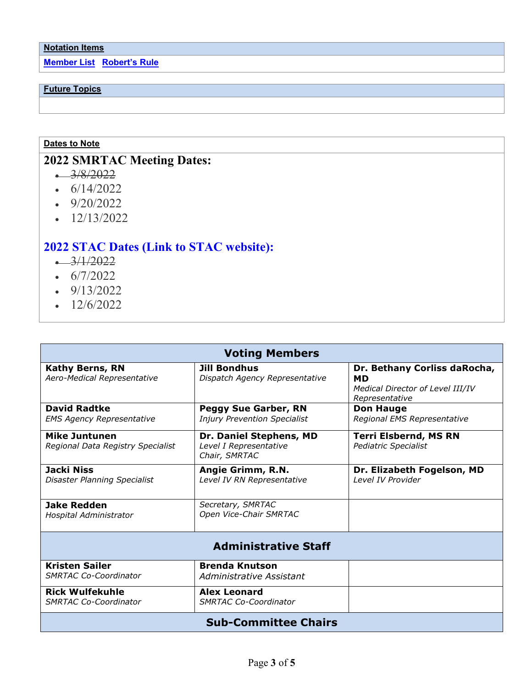**Member List [Robert's Rule](http://rulesonline.com/index.html)**

### **Future Topics**

### **Dates to Note**

# **2022 SMRTAC Meeting Dates:**

- $-3/8/2022$
- $6/14/2022$
- 9/20/2022
- $\cdot$  12/13/2022

# **2022 STAC Dates (Link to STAC [website\):](https://www.health.state.mn.us/facilities/traumasystem/stac/index.html#meetings)**

- $-3/1/2022$
- $\cdot$  6/7/2022
- $\cdot$  9/13/2022
- $\cdot$  12/6/2022

| <b>Voting Members</b>                                     |                                                                    |                                                                                          |  |  |
|-----------------------------------------------------------|--------------------------------------------------------------------|------------------------------------------------------------------------------------------|--|--|
| <b>Kathy Berns, RN</b><br>Aero-Medical Representative     | <b>Jill Bondhus</b><br>Dispatch Agency Representative              | Dr. Bethany Corliss daRocha,<br>MD<br>Medical Director of Level III/IV<br>Representative |  |  |
| <b>David Radtke</b><br><b>EMS Agency Representative</b>   | <b>Peggy Sue Garber, RN</b><br><b>Injury Prevention Specialist</b> | <b>Don Hauge</b><br>Regional EMS Representative                                          |  |  |
| <b>Mike Juntunen</b><br>Regional Data Registry Specialist | Dr. Daniel Stephens, MD<br>Level I Representative<br>Chair, SMRTAC | <b>Terri Elsbernd, MS RN</b><br>Pediatric Specialist                                     |  |  |
| Jacki Niss<br>Disaster Planning Specialist                | Angie Grimm, R.N.<br>Level IV RN Representative                    | Dr. Elizabeth Fogelson, MD<br>Level IV Provider                                          |  |  |
| <b>Jake Redden</b><br>Hospital Administrator              | Secretary, SMRTAC<br>Open Vice-Chair SMRTAC                        |                                                                                          |  |  |
|                                                           | <b>Administrative Staff</b>                                        |                                                                                          |  |  |
| <b>Kristen Sailer</b><br><b>SMRTAC Co-Coordinator</b>     | <b>Brenda Knutson</b><br>Administrative Assistant                  |                                                                                          |  |  |
| <b>Rick Wulfekuhle</b><br><b>SMRTAC Co-Coordinator</b>    | <b>Alex Leonard</b><br>SMRTAC Co-Coordinator                       |                                                                                          |  |  |
| <b>Sub-Committee Chairs</b>                               |                                                                    |                                                                                          |  |  |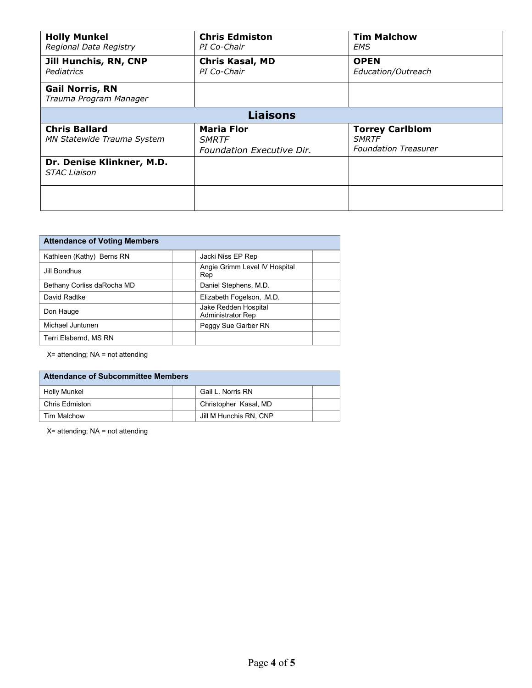| <b>Holly Munkel</b><br>Regional Data Registry             | <b>Chris Edmiston</b><br>PI Co-Chair                           | <b>Tim Malchow</b><br>EMS                                             |  |  |  |
|-----------------------------------------------------------|----------------------------------------------------------------|-----------------------------------------------------------------------|--|--|--|
| <b>Jill Hunchis, RN, CNP</b><br>Pediatrics                | <b>Chris Kasal, MD</b><br>PI Co-Chair                          | <b>OPEN</b><br>Education/Outreach                                     |  |  |  |
| <b>Gail Norris, RN</b><br>Trauma Program Manager          |                                                                |                                                                       |  |  |  |
|                                                           | <b>Liaisons</b>                                                |                                                                       |  |  |  |
| <b>Chris Ballard</b><br><b>MN Statewide Trauma System</b> | <b>Maria Flor</b><br><b>SMRTF</b><br>Foundation Executive Dir. | <b>Torrey Carlblom</b><br><b>SMRTF</b><br><b>Foundation Treasurer</b> |  |  |  |
| Dr. Denise Klinkner, M.D.<br><b>STAC Liaison</b>          |                                                                |                                                                       |  |  |  |
|                                                           |                                                                |                                                                       |  |  |  |

| <b>Attendance of Voting Members</b> |                                                  |  |
|-------------------------------------|--------------------------------------------------|--|
| Kathleen (Kathy) Berns RN           | Jacki Niss EP Rep                                |  |
| Jill Bondhus                        | Angie Grimm Level IV Hospital<br>Rep             |  |
| Bethany Corliss daRocha MD          | Daniel Stephens, M.D.                            |  |
| David Radtke                        | Elizabeth Fogelson, .M.D.                        |  |
| Don Hauge                           | Jake Redden Hospital<br><b>Administrator Rep</b> |  |
| Michael Juntunen                    | Peggy Sue Garber RN                              |  |
| Terri Elsbernd, MS RN               |                                                  |  |

X= attending; NA = not attending

| <b>Attendance of Subcommittee Members</b> |  |                        |  |
|-------------------------------------------|--|------------------------|--|
| Holly Munkel                              |  | Gail L. Norris RN      |  |
| Chris Edmiston                            |  | Christopher Kasal, MD  |  |
| Tim Malchow                               |  | Jill M Hunchis RN, CNP |  |

X= attending; NA = not attending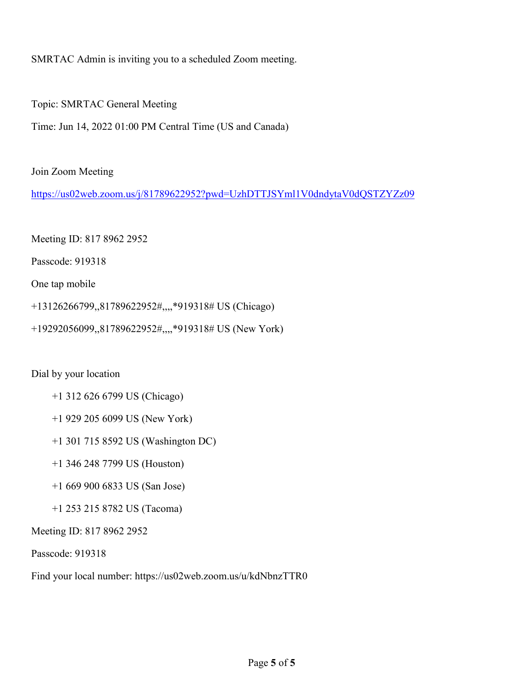SMRTAC Admin is inviting you to a scheduled Zoom meeting.

Topic: SMRTAC General Meeting

Time: Jun 14, 2022 01:00 PM Central Time (US and Canada)

Join Zoom Meeting

<https://us02web.zoom.us/j/81789622952?pwd=UzhDTTJSYml1V0dndytaV0dQSTZYZz09>

Meeting ID: 817 8962 2952

Passcode: 919318

One tap mobile

+13126266799,,81789622952#,,,,\*919318# US (Chicago)

+19292056099,,81789622952#,,,,\*919318# US (New York)

Dial by your location

- +1 312 626 6799 US (Chicago)
- +1 929 205 6099 US (New York)
- +1 301 715 8592 US (Washington DC)
- +1 346 248 7799 US (Houston)
- +1 669 900 6833 US (San Jose)
- +1 253 215 8782 US (Tacoma)

Meeting ID: 817 8962 2952

Passcode: 919318

Find your local number: https://us02web.zoom.us/u/kdNbnzTTR0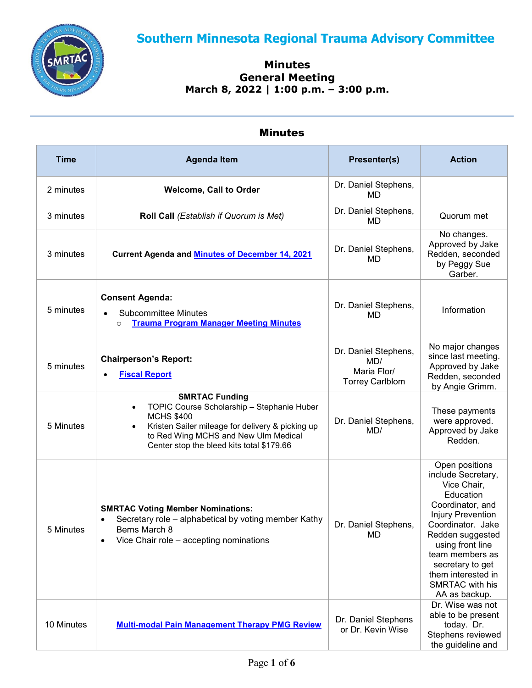<span id="page-5-0"></span>

### **Minutes General Meeting March 8, 2022** *|* **1:00 p.m. – 3:00 p.m.**

## Minutes

| <b>Time</b> | <b>Agenda Item</b>                                                                                                                                                                                                                             | Presenter(s)                                                         | <b>Action</b>                                                                                                                                                                                                                                                                  |
|-------------|------------------------------------------------------------------------------------------------------------------------------------------------------------------------------------------------------------------------------------------------|----------------------------------------------------------------------|--------------------------------------------------------------------------------------------------------------------------------------------------------------------------------------------------------------------------------------------------------------------------------|
| 2 minutes   | <b>Welcome, Call to Order</b>                                                                                                                                                                                                                  | Dr. Daniel Stephens,<br>MD                                           |                                                                                                                                                                                                                                                                                |
| 3 minutes   | Roll Call (Establish if Quorum is Met)                                                                                                                                                                                                         | Dr. Daniel Stephens,<br>MD                                           | Quorum met                                                                                                                                                                                                                                                                     |
| 3 minutes   | <b>Current Agenda and Minutes of December 14, 2021</b>                                                                                                                                                                                         | Dr. Daniel Stephens,<br>MD                                           | No changes.<br>Approved by Jake<br>Redden, seconded<br>by Peggy Sue<br>Garber.                                                                                                                                                                                                 |
| 5 minutes   | <b>Consent Agenda:</b><br><b>Subcommittee Minutes</b><br><b>Trauma Program Manager Meeting Minutes</b><br>$\circ$                                                                                                                              | Dr. Daniel Stephens,<br>MD                                           | Information                                                                                                                                                                                                                                                                    |
| 5 minutes   | <b>Chairperson's Report:</b><br><b>Fiscal Report</b>                                                                                                                                                                                           | Dr. Daniel Stephens,<br>MD/<br>Maria Flor/<br><b>Torrey Carlblom</b> | No major changes<br>since last meeting.<br>Approved by Jake<br>Redden, seconded<br>by Angie Grimm.                                                                                                                                                                             |
| 5 Minutes   | <b>SMRTAC Funding</b><br>TOPIC Course Scholarship - Stephanie Huber<br>$\bullet$<br><b>MCHS \$400</b><br>Kristen Sailer mileage for delivery & picking up<br>to Red Wing MCHS and New Ulm Medical<br>Center stop the bleed kits total \$179.66 | Dr. Daniel Stephens,<br>MD/                                          | These payments<br>were approved.<br>Approved by Jake<br>Redden.                                                                                                                                                                                                                |
| 5 Minutes   | <b>SMRTAC Voting Member Nominations:</b><br>Secretary role - alphabetical by voting member Kathy<br>$\bullet$<br>Berns March 8<br>Vice Chair role - accepting nominations<br>$\bullet$                                                         | Dr. Daniel Stephens,<br>MD                                           | Open positions<br>include Secretary,<br>Vice Chair,<br>Education<br>Coordinator, and<br>Injury Prevention<br>Coordinator. Jake<br>Redden suggested<br>using front line<br>team members as<br>secretary to get<br>them interested in<br><b>SMRTAC</b> with his<br>AA as backup. |
| 10 Minutes  | <b>Multi-modal Pain Management Therapy PMG Review</b>                                                                                                                                                                                          | Dr. Daniel Stephens<br>or Dr. Kevin Wise                             | Dr. Wise was not<br>able to be present<br>today. Dr.<br>Stephens reviewed<br>the guideline and                                                                                                                                                                                 |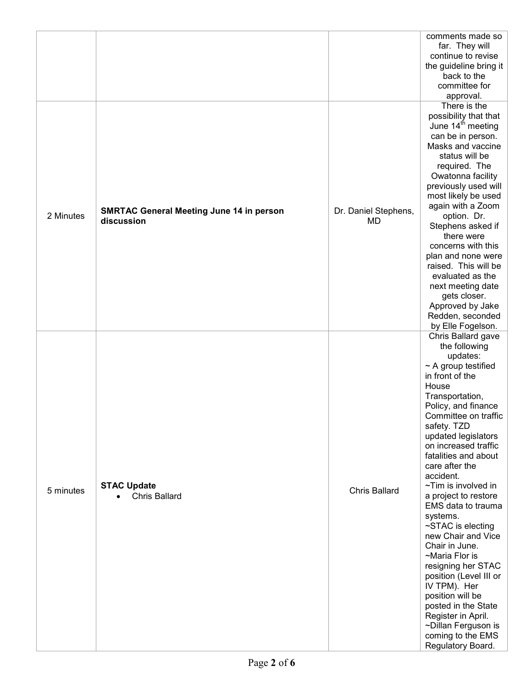| 2 Minutes | <b>SMRTAC General Meeting June 14 in person</b><br>discussion | Dr. Daniel Stephens,<br>MD | comments made so<br>far. They will<br>continue to revise<br>the guideline bring it<br>back to the<br>committee for<br>approval.<br>There is the<br>possibility that that<br>June 14 <sup>th</sup> meeting<br>can be in person.<br>Masks and vaccine<br>status will be<br>required. The<br>Owatonna facility<br>previously used will<br>most likely be used<br>again with a Zoom<br>option. Dr.<br>Stephens asked if<br>there were<br>concerns with this<br>plan and none were<br>raised. This will be<br>evaluated as the<br>next meeting date<br>gets closer.<br>Approved by Jake<br>Redden, seconded<br>by Elle Fogelson.                                            |
|-----------|---------------------------------------------------------------|----------------------------|------------------------------------------------------------------------------------------------------------------------------------------------------------------------------------------------------------------------------------------------------------------------------------------------------------------------------------------------------------------------------------------------------------------------------------------------------------------------------------------------------------------------------------------------------------------------------------------------------------------------------------------------------------------------|
| 5 minutes | <b>STAC Update</b><br><b>Chris Ballard</b>                    | <b>Chris Ballard</b>       | Chris Ballard gave<br>the following<br>updates:<br>$\sim$ A group testified<br>in front of the<br>House<br>Transportation,<br>Policy, and finance<br>Committee on traffic<br>safety. TZD<br>updated legislators<br>on increased traffic<br>fatalities and about<br>care after the<br>accident.<br>$\sim$ Tim is involved in<br>a project to restore<br>EMS data to trauma<br>systems.<br>~STAC is electing<br>new Chair and Vice<br>Chair in June.<br>~Maria Flor is<br>resigning her STAC<br>position (Level III or<br>IV TPM). Her<br>position will be<br>posted in the State<br>Register in April.<br>~Dillan Ferguson is<br>coming to the EMS<br>Regulatory Board. |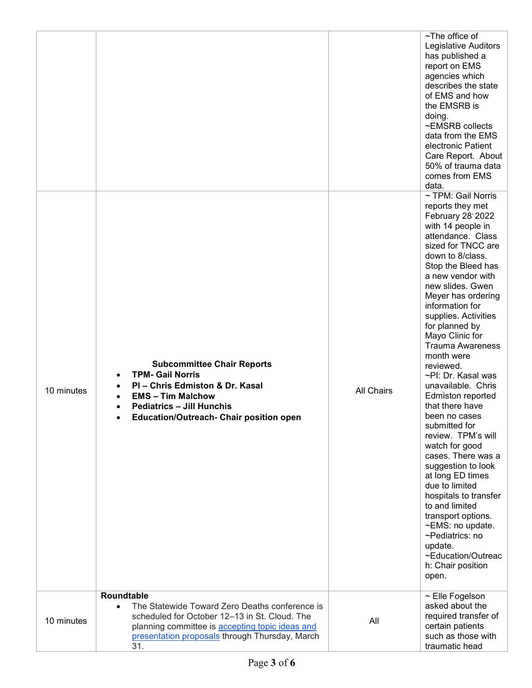|            |                                                                                                                                                                                                                                        |                   | ~The office of<br>Legislative Auditors<br>has published a<br>report on EMS<br>agencies which<br>describes the state<br>of EMS and how<br>the EMSRB is<br>doing.<br>~EMSRB collects<br>data from the EMS<br>electronic Patient<br>Care Report. About<br>50% of trauma data<br>comes from EMS<br>data.                                                                                                                                                                                                                                                                                                                                                                                                                                                                                                     |
|------------|----------------------------------------------------------------------------------------------------------------------------------------------------------------------------------------------------------------------------------------|-------------------|----------------------------------------------------------------------------------------------------------------------------------------------------------------------------------------------------------------------------------------------------------------------------------------------------------------------------------------------------------------------------------------------------------------------------------------------------------------------------------------------------------------------------------------------------------------------------------------------------------------------------------------------------------------------------------------------------------------------------------------------------------------------------------------------------------|
| 10 minutes | <b>Subcommittee Chair Reports</b><br><b>TPM- Gail Norris</b><br>PI - Chris Edmiston & Dr. Kasal<br><b>EMS - Tim Malchow</b><br><b>Pediatrics - Jill Hunchis</b><br><b>Education/Outreach- Chair position open</b>                      | <b>All Chairs</b> | ~ TPM: Gail Norris<br>reports they met<br>February 28' 2022<br>with 14 people in<br>attendance. Class<br>sized for TNCC are<br>down to 8/class.<br>Stop the Bleed has<br>a new vendor with<br>new slides. Gwen<br>Meyer has ordering<br>information for<br>supplies. Activities<br>for planned by<br>Mayo Clinic for<br><b>Trauma Awareness</b><br>month were<br>reviewed.<br>~PI: Dr. Kasal was<br>unavailable. Chris<br><b>Edmiston reported</b><br>that there have<br>been no cases<br>submitted for<br>review. TPM's will<br>watch for good<br>cases. There was a<br>suggestion to look<br>at long ED times<br>due to limited<br>hospitals to transfer<br>to and limited<br>transport options.<br>~EMS: no update.<br>~Pediatrics: no<br>update.<br>~Education/Outreac<br>h: Chair position<br>open. |
| 10 minutes | Roundtable<br>The Statewide Toward Zero Deaths conference is<br>$\bullet$<br>scheduled for October 12-13 in St. Cloud. The<br>planning committee is accepting topic ideas and<br>presentation proposals through Thursday, March<br>31. | All               | ~ Elle Fogelson<br>asked about the<br>required transfer of<br>certain patients<br>such as those with<br>traumatic head                                                                                                                                                                                                                                                                                                                                                                                                                                                                                                                                                                                                                                                                                   |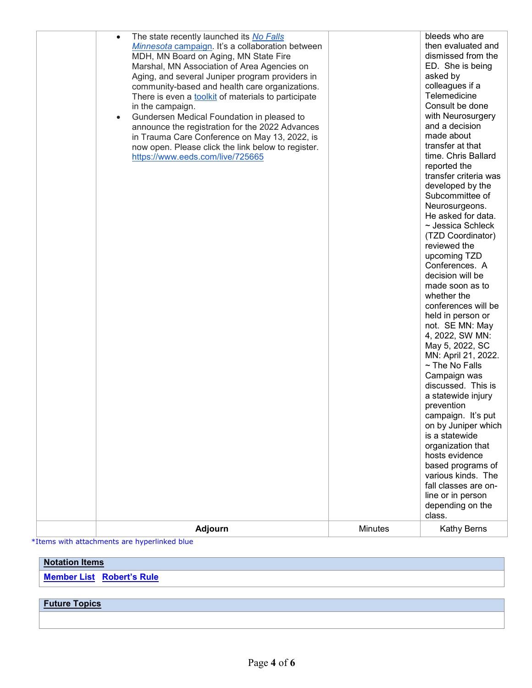\*Items with attachments are hyperlinked blue

### **Notation Items**

**Member List [Robert's Rule](http://rulesonline.com/index.html)**

## **Future Topics**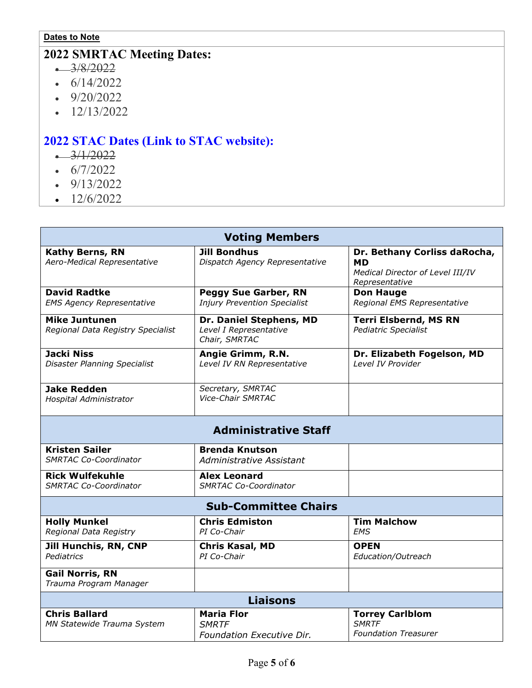### **Dates to Note**

# **2022 SMRTAC Meeting Dates:**

- $-3/8/2022$
- $\cdot$  6/14/2022
- $\cdot$  9/20/2022
- $\cdot$  12/13/2022

# **2022 STAC Dates (Link to STAC [website\):](https://www.health.state.mn.us/facilities/traumasystem/stac/index.html#meetings)**

- $-3/1/2022$
- $\cdot$  6/7/2022
- $-9/13/2022$
- $\cdot$  12/6/2022

| <b>Voting Members</b>                                     |                                                                    |                                                                                                 |  |  |  |
|-----------------------------------------------------------|--------------------------------------------------------------------|-------------------------------------------------------------------------------------------------|--|--|--|
| <b>Kathy Berns, RN</b><br>Aero-Medical Representative     | <b>Jill Bondhus</b><br>Dispatch Agency Representative              | Dr. Bethany Corliss daRocha,<br><b>MD</b><br>Medical Director of Level III/IV<br>Representative |  |  |  |
| <b>David Radtke</b><br><b>EMS Agency Representative</b>   | <b>Peggy Sue Garber, RN</b><br><b>Injury Prevention Specialist</b> | <b>Don Hauge</b><br>Regional EMS Representative                                                 |  |  |  |
| <b>Mike Juntunen</b><br>Regional Data Registry Specialist | Dr. Daniel Stephens, MD<br>Level I Representative<br>Chair, SMRTAC | <b>Terri Elsbernd, MS RN</b><br><b>Pediatric Specialist</b>                                     |  |  |  |
| <b>Jacki Niss</b><br><b>Disaster Planning Specialist</b>  | Angie Grimm, R.N.<br>Level IV RN Representative                    | Dr. Elizabeth Fogelson, MD<br>Level IV Provider                                                 |  |  |  |
| <b>Jake Redden</b><br>Hospital Administrator              | Secretary, SMRTAC<br><b>Vice-Chair SMRTAC</b>                      |                                                                                                 |  |  |  |
|                                                           | <b>Administrative Staff</b>                                        |                                                                                                 |  |  |  |
| <b>Kristen Sailer</b><br><b>SMRTAC Co-Coordinator</b>     | <b>Brenda Knutson</b><br>Administrative Assistant                  |                                                                                                 |  |  |  |
| <b>Rick Wulfekuhle</b><br><b>SMRTAC Co-Coordinator</b>    | <b>Alex Leonard</b><br><b>SMRTAC Co-Coordinator</b>                |                                                                                                 |  |  |  |
|                                                           | <b>Sub-Committee Chairs</b>                                        |                                                                                                 |  |  |  |
| <b>Holly Munkel</b><br>Regional Data Registry             | <b>Chris Edmiston</b><br>PI Co-Chair                               | <b>Tim Malchow</b><br><b>EMS</b>                                                                |  |  |  |
| <b>Jill Hunchis, RN, CNP</b><br>Pediatrics                | <b>Chris Kasal, MD</b><br>PI Co-Chair                              | <b>OPEN</b><br>Education/Outreach                                                               |  |  |  |
| <b>Gail Norris, RN</b><br>Trauma Program Manager          |                                                                    |                                                                                                 |  |  |  |
|                                                           | <b>Liaisons</b>                                                    |                                                                                                 |  |  |  |
| <b>Chris Ballard</b><br>MN Statewide Trauma System        | <b>Maria Flor</b><br><b>SMRTF</b><br>Foundation Executive Dir.     | <b>Torrey Carlblom</b><br><b>SMRTF</b><br><b>Foundation Treasurer</b>                           |  |  |  |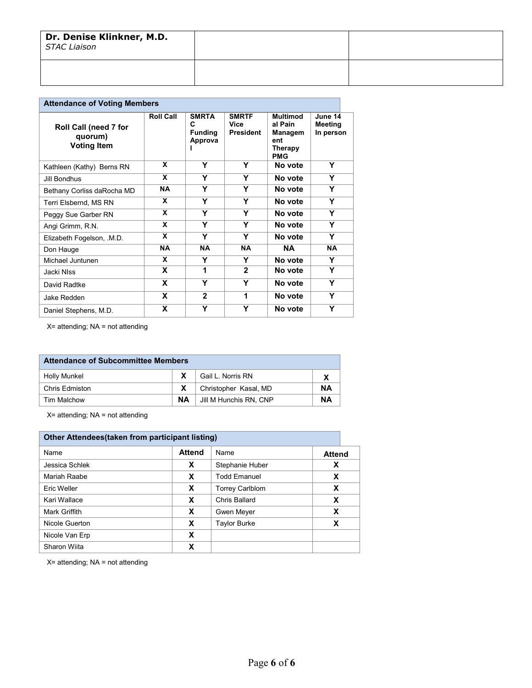| Dr. Denise Klinkner, M.D.<br><b>STAC Liaison</b> |  |
|--------------------------------------------------|--|
|                                                  |  |

| <b>Attendance of Voting Members</b>                    |                  |                                                |                                          |                                                                       |                                 |  |  |
|--------------------------------------------------------|------------------|------------------------------------------------|------------------------------------------|-----------------------------------------------------------------------|---------------------------------|--|--|
| Roll Call (need 7 for<br>quorum)<br><b>Voting Item</b> | <b>Roll Call</b> | <b>SMRTA</b><br>C<br><b>Funding</b><br>Approva | <b>SMRTF</b><br>Vice<br><b>President</b> | <b>Multimod</b><br>al Pain<br>Managem<br>ent<br>Therapy<br><b>PMG</b> | June 14<br>Meeting<br>In person |  |  |
| Kathleen (Kathy) Berns RN                              | X                | Y                                              | Y                                        | No vote                                                               | Υ                               |  |  |
| Jill Bondhus                                           | X                | Υ                                              | Υ                                        | No vote                                                               | Y                               |  |  |
| Bethany Corliss daRocha MD                             | <b>NA</b>        | Y                                              | Y                                        | No vote                                                               | Y                               |  |  |
| Terri Elsbernd, MS RN                                  | X                | Y                                              | Y                                        | No vote                                                               | Y                               |  |  |
| Peggy Sue Garber RN                                    | X                | Υ                                              | Y                                        | No vote                                                               | Y                               |  |  |
| Angi Grimm, R.N.                                       | X                | Y                                              | Y                                        | No vote                                                               | Y                               |  |  |
| Elizabeth Fogelson, .M.D.                              | X                | Υ                                              | Υ                                        | No vote                                                               | Υ                               |  |  |
| Don Hauge                                              | <b>NA</b>        | <b>NA</b>                                      | <b>NA</b>                                | <b>NA</b>                                                             | <b>NA</b>                       |  |  |
| Michael Juntunen                                       | X                | Y                                              | Y                                        | No vote                                                               | Y                               |  |  |
| Jacki NIss                                             | X                | 1                                              | $\mathbf{2}$                             | No vote                                                               | Υ                               |  |  |
| David Radtke                                           | X                | Υ                                              | Y                                        | No vote                                                               | Υ                               |  |  |
| Jake Redden                                            | X                | $\mathbf{2}$                                   | 1                                        | No vote                                                               | Y                               |  |  |
| Daniel Stephens, M.D.                                  | X                | Y                                              | Y                                        | No vote                                                               | Y                               |  |  |

X= attending; NA = not attending

| <b>Attendance of Subcommittee Members</b>         |  |                       |    |
|---------------------------------------------------|--|-----------------------|----|
| <b>Holly Munkel</b>                               |  | Gail L. Norris RN     |    |
| Chris Edmiston                                    |  | Christopher Kasal, MD | ΝA |
| NΑ<br>ΝA<br>Jill M Hunchis RN, CNP<br>Tim Malchow |  |                       |    |

X= attending; NA = not attending

| Other Attendees (taken from participant listing) |               |                        |               |
|--------------------------------------------------|---------------|------------------------|---------------|
| Name                                             | <b>Attend</b> | Name                   | <b>Attend</b> |
| Jessica Schlek                                   | X             | Stephanie Huber        | X             |
| Mariah Raabe                                     | X             | <b>Todd Emanuel</b>    | X             |
| Eric Weller                                      | X             | <b>Torrey Carlblom</b> | x             |
| Kari Wallace                                     | X             | Chris Ballard          | x             |
| Mark Griffith                                    | X             | Gwen Meyer             | X             |
| Nicole Guerton                                   | X             | <b>Taylor Burke</b>    | x             |
| Nicole Van Erp                                   | X             |                        |               |
| Sharon Wiita                                     | x             |                        |               |

X= attending; NA = not attending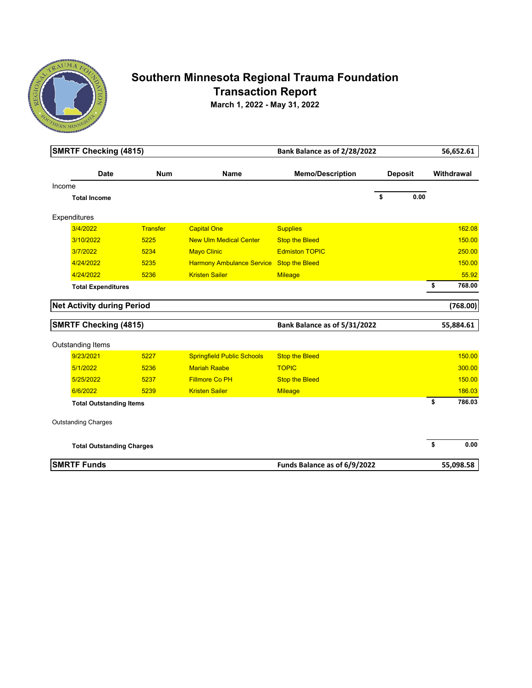

# **Southern Minnesota Regional Trauma Foundation Transaction Report**

**March 1, 2022 - May 31, 2022**

| <b>SMRTF Checking (4815)</b>      |                 |                                   | Bank Balance as of 2/28/2022 |                | 56,652.61    |
|-----------------------------------|-----------------|-----------------------------------|------------------------------|----------------|--------------|
| <b>Date</b>                       | <b>Num</b>      | <b>Name</b>                       | <b>Memo/Description</b>      | <b>Deposit</b> | Withdrawal   |
| Income                            |                 |                                   |                              |                |              |
| <b>Total Income</b>               |                 |                                   |                              | \$<br>0.00     |              |
| Expenditures                      |                 |                                   |                              |                |              |
| 3/4/2022                          | <b>Transfer</b> | <b>Capital One</b>                | <b>Supplies</b>              |                | 162.08       |
| 3/10/2022                         | 5225            | <b>New Ulm Medical Center</b>     | <b>Stop the Bleed</b>        |                | 150.00       |
| 3/7/2022                          | 5234            | <b>Mayo Clinic</b>                | <b>Edmiston TOPIC</b>        |                | 250.00       |
| 4/24/2022                         | 5235            | <b>Harmony Ambulance Service</b>  | <b>Stop the Bleed</b>        |                | 150.00       |
| 4/24/2022                         | 5236            | <b>Kristen Sailer</b>             | <b>Mileage</b>               |                | 55.92        |
| <b>Total Expenditures</b>         |                 |                                   |                              |                | \$<br>768.00 |
| <b>Net Activity during Period</b> |                 |                                   |                              |                | (768.00)     |
| <b>SMRTF Checking (4815)</b>      |                 |                                   | Bank Balance as of 5/31/2022 |                | 55,884.61    |
| Outstanding Items                 |                 |                                   |                              |                |              |
| 9/23/2021                         | 5227            | <b>Springfield Public Schools</b> | <b>Stop the Bleed</b>        |                | 150.00       |
| 5/1/2022                          | 5236            | <b>Mariah Raabe</b>               | <b>TOPIC</b>                 |                | 300.00       |
| 5/25/2022                         | 5237            | <b>Fillmore Co PH</b>             | <b>Stop the Bleed</b>        |                | 150.00       |
| 6/6/2022                          | 5239            | <b>Kristen Sailer</b>             | <b>Mileage</b>               |                | 186.03       |
| <b>Total Outstanding Items</b>    |                 |                                   |                              |                | \$<br>786.03 |
| <b>Outstanding Charges</b>        |                 |                                   |                              |                |              |
| <b>Total Outstanding Charges</b>  |                 |                                   |                              |                | \$<br>0.00   |
| <b>SMRTF Funds</b>                |                 |                                   | Funds Balance as of 6/9/2022 |                | 55,098.58    |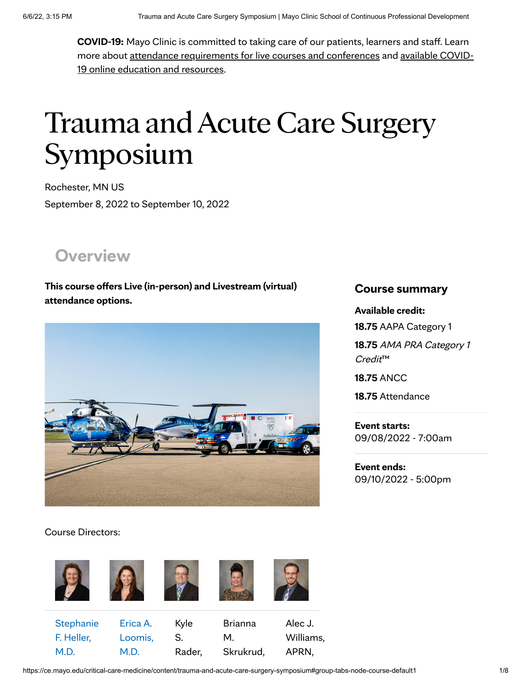<span id="page-12-0"></span>**COVID-19:** Mayo Clinic is committed to taking care of our patients, learners and staff. Learn more about attendance [requirements](https://ce.mayo.edu/content/guidelines-live-courses-and-conferences) for live courses and conferences and available COVID-19 online education and resources.

# Trauma and Acute Care Surgery Symposium

Rochester, MN US September 8, 2022 to September 10, 2022

**[Overview](https://ce.mayo.edu/critical-care-medicine)**

**This course offers Live (in-person) and Livestream (virtual) attendance options.**



### Course Directors:



#### https://ce.mayo.edu/critical-care-medicine/content/trauma-and-acute-care-surgery-symposium#group-tabs-node-course-default1 1/8

### **Course summary**

**Available credit:**

**18.75** AAPA Category 1

**18.75** AMA PRA Category <sup>1</sup> Credit™

**18.75** ANCC

**18.75** Attendance

**Event starts:** 09/08/2022 - 7:00am

**Event ends:** 09/10/2022 - 5:00pm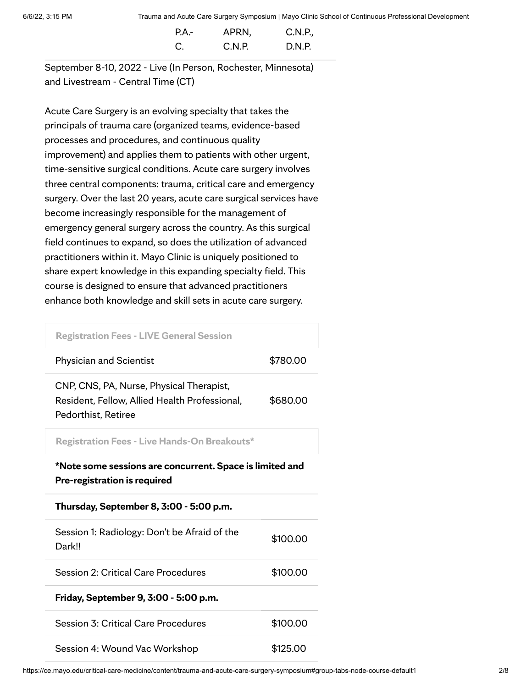| $PA -$ | APRN,  | C.N.P., |
|--------|--------|---------|
| C.     | C.N.P. | D.N.P.  |

September 8-10, 2022 - Live (In Person, Rochester, Minnesota) and Livestream - Central Time (CT)

Acute Care Surgery is an evolving specialty that takes the principals of trauma care (organized teams, evidence-based processes and procedures, and continuous quality improvement) and applies them to patients with other urgent, time-sensitive surgical conditions. Acute care surgery involves three central components: trauma, critical care and emergency surgery. Over the last 20 years, acute care surgical services have become increasingly responsible for the management of emergency general surgery across the country. As this surgical field continues to expand, so does the utilization of advanced practitioners within it. Mayo Clinic is uniquely positioned to share expert knowledge in this expanding specialty field. This course is designed to ensure that advanced practitioners enhance both knowledge and skill sets in acute care surgery.

**Registration Fees - LIVE General Session**

| <b>Physician and Scientist</b>                                                                                   | \$780.00 |
|------------------------------------------------------------------------------------------------------------------|----------|
| CNP, CNS, PA, Nurse, Physical Therapist,<br>Resident, Fellow, Allied Health Professional,<br>Pedorthist, Retiree | \$680.00 |
| <b>Registration Fees - Live Hands-On Breakouts*</b>                                                              |          |
| *Note some sessions are concurrent. Space is limited and<br>Pre-registration is required                         |          |
| Thursday, September 8, 3:00 - 5:00 p.m.                                                                          |          |
|                                                                                                                  |          |
| Session 1: Radiology: Don't be Afraid of the<br>Dark!!                                                           | \$100.00 |
| Session 2: Critical Care Procedures                                                                              | \$100.00 |
| Friday, September 9, 3:00 - 5:00 p.m.                                                                            |          |
| Session 3: Critical Care Procedures                                                                              | \$100.00 |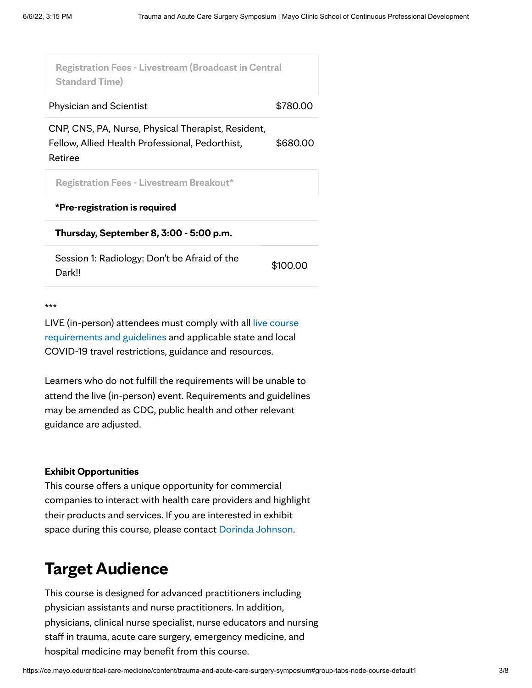| <b>Registration Fees - Livestream (Broadcast in Central</b> |
|-------------------------------------------------------------|
| \$780.00                                                    |
| \$680.00                                                    |
|                                                             |
|                                                             |
|                                                             |
| \$100.00                                                    |
|                                                             |

\*\*\*

LIVE (in-person) attendees must comply with all live course [requirements](https://ce.mayo.edu/content/guidelines-live-courses-and-conferences) and guidelines and applicable state and local COVID-19 travel restrictions, guidance and resources.

Learners who do not fulfill the requirements will be unable to attend the live (in-person) event. Requirements and guidelines may be amended as CDC, public health and other relevant guidance are adjusted.

#### **Exhibit Opportunities**

This course offers a unique opportunity for commercial companies to interact with health care providers and highlight their products and services. If you are interested in exhibit space during this course, please contact Dorinda [Johnson](mailto:johnson.dorinda@mayo.edu?subject=Trauma%20and%20Acute%20Care%20Surgery%20Symposium%20-%20Exhibit%20Opportunities).

# **Target Audience**

This course is designed for advanced practitioners including physician assistants and nurse practitioners. In addition, physicians, clinical nurse specialist, nurse educators and nursing staff in trauma, acute care surgery, emergency medicine, and hospital medicine may benefit from this course.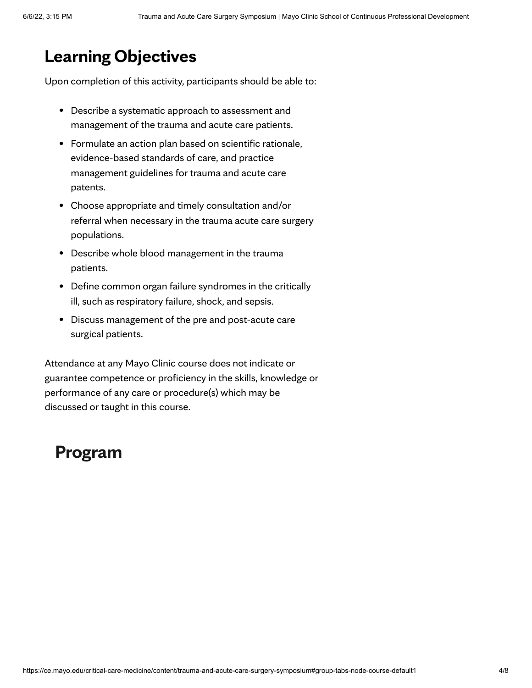# **Learning Objectives**

Upon completion of this activity, participants should be able to:

- Describe a systematic approach to assessment and management of the trauma and acute care patients.
- Formulate an action plan based on scientific rationale, evidence-based standards of care, and practice management guidelines for trauma and acute care patents.
- Choose appropriate and timely consultation and/or referral when necessary in the trauma acute care surgery populations.
- Describe whole blood management in the trauma patients.
- Define common organ failure syndromes in the critically ill, such as respiratory failure, shock, and sepsis.
- Discuss management of the pre and post-acute care surgical patients.

Attendance at any Mayo Clinic course does not indicate or guarantee competence or proficiency in the skills, knowledge or performance of any care or procedure(s) which may be discussed or taught in this course.

# **[Program](https://ce.mayo.edu/critical-care-medicine)**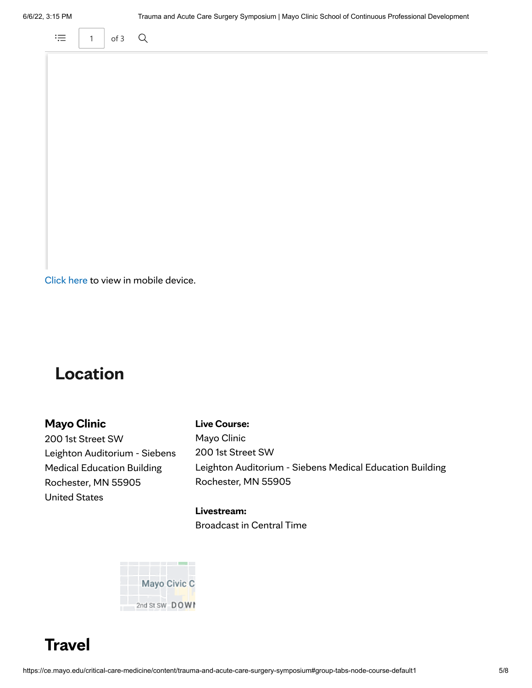

[Click](https://ce.mayo.edu/sites/default/files/media/2022-05/Trauma2022-ProgSched%205-20-22_0.pdf) here to view in mobile device.

# **[Location](https://ce.mayo.edu/critical-care-medicine)**

### **Mayo Clinic**

200 1st Street SW Leighton Auditorium - Siebens Medical Education Building Rochester, MN 55905 United States

#### **Live Course:**

Mayo Clinic 200 1st Street SW Leighton Auditorium - Siebens Medical Education Building Rochester, MN 55905

#### **Livestream:**

Broadcast in Central Time



**Travel**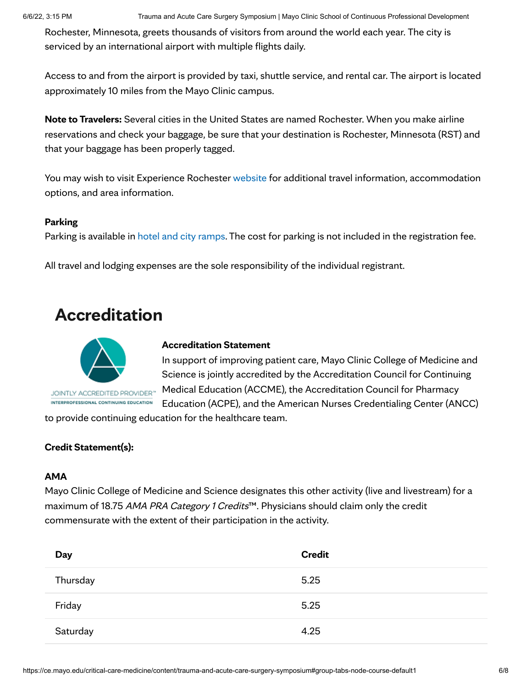Rochester, Minnesota, greets thousands of visitors from around the world each year. The city is serviced by an international airport with multiple flights daily.

Access to and from the airport is provided by taxi, shuttle service, and rental car. The airport is located approximately 10 miles from the Mayo Clinic campus.

**Note to Travelers:** Several cities in the United States are named Rochester. When you make airline reservations and check your baggage, be sure that your destination is Rochester, Minnesota (RST) and that your baggage has been properly tagged.

You may wish to visit Experience Rochester [website](https://www.experiencerochestermn.com/) for additional travel information, accommodation options, and area information.

#### **Parking**

Parking is available in hotel and city [ramps](https://www.rochestermn.gov/government/departments/public-parking). The cost for parking is not included in the registration fee.

All travel and lodging expenses are the sole responsibility of the individual registrant.

# **[Accreditation](https://ce.mayo.edu/critical-care-medicine)**



INTERPROFESSIONAL CONTINUING EDUCATION

#### **Accreditation Statement**

In support of improving patient care, Mayo Clinic College of Medicine and Science is jointly accredited by the Accreditation Council for Continuing Medical Education (ACCME), the Accreditation Council for Pharmacy Education (ACPE), and the American Nurses Credentialing Center (ANCC)

to provide continuing education for the healthcare team.

#### **Credit Statement(s):**

#### **AMA**

Mayo Clinic College of Medicine and Science designates this other activity (live and livestream) for a maximum of 18.75 AMA PRA Category 1 Credits™. Physicians should claim only the credit commensurate with the extent of their participation in the activity.

| Day      | <b>Credit</b> |
|----------|---------------|
| Thursday | 5.25          |
| Friday   | 5.25          |
| Saturday | 4.25          |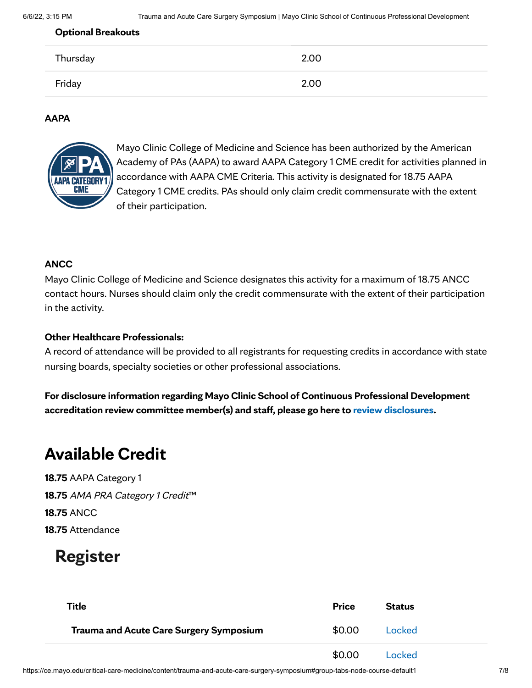#### **Optional Breakouts**

| Thursday | 2.00 |
|----------|------|
| Friday   | 2.00 |

#### **AAPA**



Mayo Clinic College of Medicine and Science has been authorized by the American Academy of PAs (AAPA) to award AAPA Category 1 CME credit for activities planned in accordance with AAPA CME Criteria. This activity is designated for 18.75 AAPA Category 1 CME credits. PAs should only claim credit commensurate with the extent of their participation.

#### **ANCC**

Mayo Clinic College of Medicine and Science designates this activity for a maximum of 18.75 ANCC contact hours. Nurses should claim only the credit commensurate with the extent of their participation in the activity.

#### **Other Healthcare Professionals:**

A record of attendance will be provided to all registrants for requesting credits in accordance with state nursing boards, specialty societies or other professional associations.

**For disclosure information regarding Mayo Clinic School of Continuous Professional Development accreditation review committee member(s) and staff, please go here to review [disclosures](https://ce.mayo.edu/content/disclosures).**

# **Available Credit**

**18.75** AAPA Category 1 18.75 AMA PRA Category 1 Credit<sup>™</sup> **18.75** ANCC **18.75** Attendance

# **[Register](https://ce.mayo.edu/critical-care-medicine)**

| <b>Title</b>                                   | <b>Price</b> | <b>Status</b> |
|------------------------------------------------|--------------|---------------|
| <b>Trauma and Acute Care Surgery Symposium</b> | \$0.00       | Locked        |
|                                                | \$0.00       | Locked        |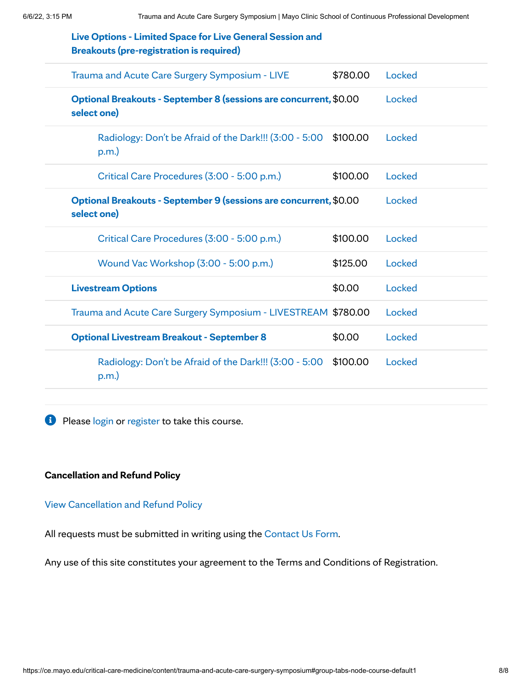| Live Options - Limited Space for Live General Session and<br><b>Breakouts (pre-registration is required)</b> |          |        |
|--------------------------------------------------------------------------------------------------------------|----------|--------|
| Trauma and Acute Care Surgery Symposium - LIVE                                                               | \$780.00 | Locked |
| Optional Breakouts - September 8 (sessions are concurrent, \$0.00<br>select one)                             |          | Locked |
| Radiology: Don't be Afraid of the Dark!!! (3:00 - 5:00<br>p.m.                                               | \$100.00 | Locked |
| Critical Care Procedures (3:00 - 5:00 p.m.)                                                                  | \$100.00 | Locked |
| Optional Breakouts - September 9 (sessions are concurrent, \$0.00<br>select one)                             |          | Locked |
| Critical Care Procedures (3:00 - 5:00 p.m.)                                                                  | \$100.00 | Locked |
| Wound Vac Workshop (3:00 - 5:00 p.m.)                                                                        | \$125.00 | Locked |
| <b>Livestream Options</b>                                                                                    | \$0.00   | Locked |
| Trauma and Acute Care Surgery Symposium - LIVESTREAM \$780.00                                                |          | Locked |
| <b>Optional Livestream Breakout - September 8</b>                                                            | \$0.00   | Locked |
| Radiology: Don't be Afraid of the Dark!!! (3:00 - 5:00<br>p.m.                                               | \$100.00 | Locked |
|                                                                                                              |          |        |

**P** Please [login](https://ce.mayo.edu/critical-care-medicine/user/login?destination=node/126483) or [register](https://ce.mayo.edu/critical-care-medicine/user/register?destination=node/126483) to take this course.

### **Cancellation and Refund Policy**

View [Cancellation](https://ce.mayo.edu/cancellationpolicy) and Refund Policy

All requests must be submitted in writing using the [Contact](https://ce.mayo.edu/content/contact-us) Us Form.

Any use of this site constitutes your agreement to the Terms and Conditions of Registration.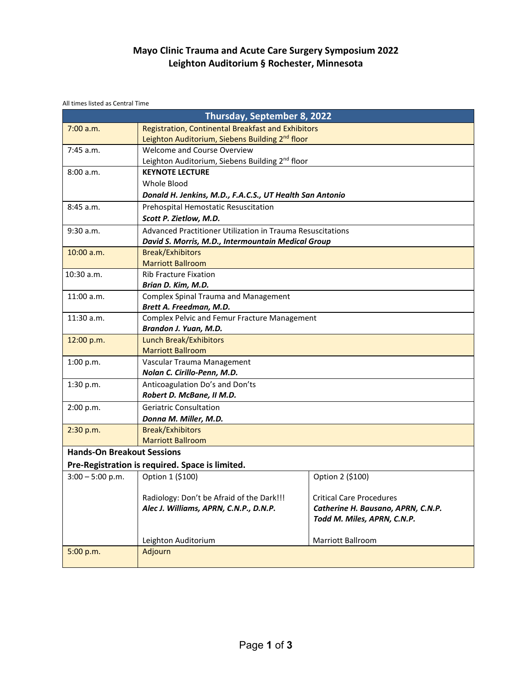### **Mayo Clinic Trauma and Acute Care Surgery Symposium 2022 Leighton Auditorium § Rochester, Minnesota**

All times listed as Central Time

| Thursday, September 8, 2022       |                                                             |                                    |  |
|-----------------------------------|-------------------------------------------------------------|------------------------------------|--|
| 7:00 a.m.                         | Registration, Continental Breakfast and Exhibitors          |                                    |  |
|                                   | Leighton Auditorium, Siebens Building 2 <sup>nd</sup> floor |                                    |  |
| $7:45$ a.m.                       | Welcome and Course Overview                                 |                                    |  |
|                                   | Leighton Auditorium, Siebens Building 2 <sup>nd</sup> floor |                                    |  |
| 8:00 a.m.                         | <b>KEYNOTE LECTURE</b>                                      |                                    |  |
|                                   | Whole Blood                                                 |                                    |  |
|                                   | Donald H. Jenkins, M.D., F.A.C.S., UT Health San Antonio    |                                    |  |
| 8:45 a.m.                         | Prehospital Hemostatic Resuscitation                        |                                    |  |
|                                   | Scott P. Zietlow, M.D.                                      |                                    |  |
| $9:30$ a.m.                       | Advanced Practitioner Utilization in Trauma Resuscitations  |                                    |  |
|                                   | David S. Morris, M.D., Intermountain Medical Group          |                                    |  |
| 10:00 a.m.                        | <b>Break/Exhibitors</b>                                     |                                    |  |
|                                   | <b>Marriott Ballroom</b>                                    |                                    |  |
| 10:30 a.m.                        | <b>Rib Fracture Fixation</b>                                |                                    |  |
|                                   | Brian D. Kim, M.D.                                          |                                    |  |
| 11:00 a.m.                        | <b>Complex Spinal Trauma and Management</b>                 |                                    |  |
|                                   | Brett A. Freedman, M.D.                                     |                                    |  |
| 11:30 a.m.                        | Complex Pelvic and Femur Fracture Management                |                                    |  |
|                                   | Brandon J. Yuan, M.D.                                       |                                    |  |
| 12:00 p.m.                        | <b>Lunch Break/Exhibitors</b>                               |                                    |  |
|                                   | <b>Marriott Ballroom</b>                                    |                                    |  |
| 1:00 p.m.                         | Vascular Trauma Management                                  |                                    |  |
|                                   | Nolan C. Cirillo-Penn, M.D.                                 |                                    |  |
| 1:30 p.m.                         | Anticoagulation Do's and Don'ts                             |                                    |  |
|                                   | Robert D. McBane, II M.D.                                   |                                    |  |
| 2:00 p.m.                         | <b>Geriatric Consultation</b>                               |                                    |  |
|                                   | Donna M. Miller, M.D.                                       |                                    |  |
| 2:30 p.m.                         | <b>Break/Exhibitors</b>                                     |                                    |  |
|                                   | <b>Marriott Ballroom</b>                                    |                                    |  |
| <b>Hands-On Breakout Sessions</b> |                                                             |                                    |  |
|                                   | Pre-Registration is required. Space is limited.             |                                    |  |
| $3:00 - 5:00$ p.m.                | Option 1 (\$100)                                            | Option 2 (\$100)                   |  |
|                                   |                                                             |                                    |  |
|                                   | Radiology: Don't be Afraid of the Dark!!!                   | <b>Critical Care Procedures</b>    |  |
|                                   | Alec J. Williams, APRN, C.N.P., D.N.P.                      | Catherine H. Bausano, APRN, C.N.P. |  |
|                                   |                                                             | Todd M. Miles, APRN, C.N.P.        |  |
|                                   |                                                             |                                    |  |
|                                   | Leighton Auditorium                                         | Marriott Ballroom                  |  |
| 5:00 p.m.                         | Adjourn                                                     |                                    |  |
|                                   |                                                             |                                    |  |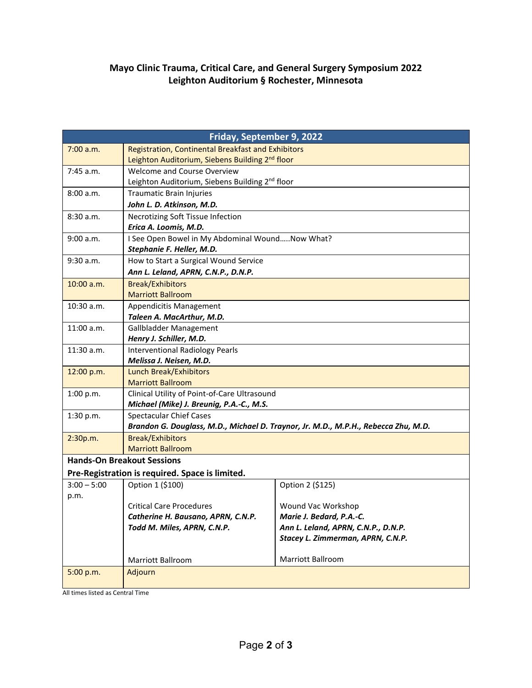### **Mayo Clinic Trauma, Critical Care, and General Surgery Symposium 2022 Leighton Auditorium § Rochester, Minnesota**

| Friday, September 9, 2022         |                                                                                                                      |                                                                          |  |
|-----------------------------------|----------------------------------------------------------------------------------------------------------------------|--------------------------------------------------------------------------|--|
| 7:00 a.m.                         | <b>Registration, Continental Breakfast and Exhibitors</b>                                                            |                                                                          |  |
|                                   | Leighton Auditorium, Siebens Building 2 <sup>nd</sup> floor                                                          |                                                                          |  |
| 7:45 a.m.                         | Welcome and Course Overview                                                                                          |                                                                          |  |
|                                   | Leighton Auditorium, Siebens Building 2nd floor                                                                      |                                                                          |  |
| 8:00 a.m.                         | <b>Traumatic Brain Injuries</b>                                                                                      |                                                                          |  |
|                                   | John L. D. Atkinson, M.D.                                                                                            |                                                                          |  |
| 8:30a.m.                          | Necrotizing Soft Tissue Infection                                                                                    |                                                                          |  |
|                                   | Erica A. Loomis, M.D.                                                                                                |                                                                          |  |
| 9:00 a.m.                         | I See Open Bowel in My Abdominal WoundNow What?                                                                      |                                                                          |  |
|                                   | Stephanie F. Heller, M.D.                                                                                            |                                                                          |  |
| 9:30 a.m.                         | How to Start a Surgical Wound Service                                                                                |                                                                          |  |
|                                   | Ann L. Leland, APRN, C.N.P., D.N.P.                                                                                  |                                                                          |  |
| $10:00$ a.m.                      | <b>Break/Exhibitors</b>                                                                                              |                                                                          |  |
|                                   | <b>Marriott Ballroom</b>                                                                                             |                                                                          |  |
| 10:30 a.m.                        | Appendicitis Management                                                                                              |                                                                          |  |
|                                   | Taleen A. MacArthur, M.D.                                                                                            |                                                                          |  |
| 11:00 a.m.                        | Gallbladder Management                                                                                               |                                                                          |  |
|                                   | Henry J. Schiller, M.D.                                                                                              |                                                                          |  |
| $11:30$ a.m.                      | <b>Interventional Radiology Pearls</b>                                                                               |                                                                          |  |
|                                   | Melissa J. Neisen, M.D.                                                                                              |                                                                          |  |
| 12:00 p.m.                        | <b>Lunch Break/Exhibitors</b>                                                                                        |                                                                          |  |
|                                   | <b>Marriott Ballroom</b>                                                                                             |                                                                          |  |
| 1:00 p.m.                         | Clinical Utility of Point-of-Care Ultrasound                                                                         |                                                                          |  |
|                                   | Michael (Mike) J. Breunig, P.A.-C., M.S.                                                                             |                                                                          |  |
| 1:30 p.m.                         | <b>Spectacular Chief Cases</b><br>Brandon G. Douglass, M.D., Michael D. Traynor, Jr. M.D., M.P.H., Rebecca Zhu, M.D. |                                                                          |  |
|                                   |                                                                                                                      |                                                                          |  |
| 2:30p.m.                          | <b>Break/Exhibitors</b>                                                                                              |                                                                          |  |
|                                   | <b>Marriott Ballroom</b>                                                                                             |                                                                          |  |
| <b>Hands-On Breakout Sessions</b> |                                                                                                                      |                                                                          |  |
|                                   | Pre-Registration is required. Space is limited.                                                                      |                                                                          |  |
| $3:00 - 5:00$                     | Option 1 (\$100)                                                                                                     | Option 2 (\$125)                                                         |  |
| p.m.                              |                                                                                                                      |                                                                          |  |
|                                   | <b>Critical Care Procedures</b>                                                                                      | Wound Vac Workshop                                                       |  |
|                                   | Catherine H. Bausano, APRN, C.N.P.                                                                                   | Marie J. Bedard, P.A.-C.                                                 |  |
|                                   | Todd M. Miles, APRN, C.N.P.                                                                                          | Ann L. Leland, APRN, C.N.P., D.N.P.<br>Stacey L. Zimmerman, APRN, C.N.P. |  |
|                                   |                                                                                                                      |                                                                          |  |
|                                   | Marriott Ballroom                                                                                                    | Marriott Ballroom                                                        |  |
| 5:00 p.m.                         | Adjourn                                                                                                              |                                                                          |  |
|                                   |                                                                                                                      |                                                                          |  |

All times listed as Central Time